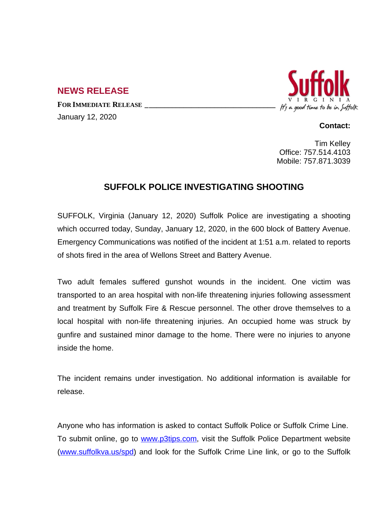## **NEWS RELEASE**

**FOR IMMEDIATE RELEASE \_\_\_\_\_\_\_\_\_\_\_\_\_\_\_\_\_\_\_\_\_\_\_\_\_\_\_\_\_\_\_\_\_\_** January 12, 2020



## **Contact:**

Tim Kelley Office: 757.514.4103 Mobile: 757.871.3039

## **SUFFOLK POLICE INVESTIGATING SHOOTING**

SUFFOLK, Virginia (January 12, 2020) Suffolk Police are investigating a shooting which occurred today, Sunday, January 12, 2020, in the 600 block of Battery Avenue. Emergency Communications was notified of the incident at 1:51 a.m. related to reports of shots fired in the area of Wellons Street and Battery Avenue.

Two adult females suffered gunshot wounds in the incident. One victim was transported to an area hospital with non-life threatening injuries following assessment and treatment by Suffolk Fire & Rescue personnel. The other drove themselves to a local hospital with non-life threatening injuries. An occupied home was struck by gunfire and sustained minor damage to the home. There were no injuries to anyone inside the home.

The incident remains under investigation. No additional information is available for release.

Anyone who has information is asked to contact Suffolk Police or Suffolk Crime Line. To submit online, go to [www.p3tips.com](http://www.p3tips.com), visit the Suffolk Police Department website ([www.suffolkva.us/spd](http://www.suffolkva.us/spd)) and look for the Suffolk Crime Line link, or go to the Suffolk